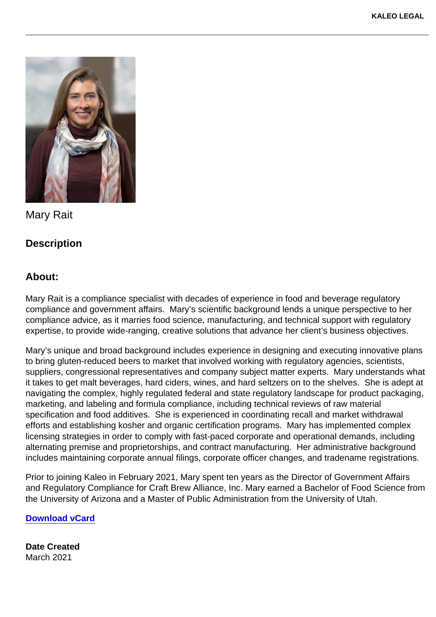Mary Rait

**Description** 

About:

Mary Rait is a compliance specialist with decades of experience in food and beverage regulatory compliance and government affairs. Mary's scientific background lends a unique perspective to her compliance advice, as it marries food science, manufacturing, and technical support with regulatory expertise, to provide wide-ranging, creative solutions that advance her client's business objectives.

Mary's unique and broad background includes experience in designing and executing innovative plans to bring gluten-reduced beers to market that involved working with regulatory agencies, scientists, suppliers, congressional representatives and company subject matter experts. Mary understands what it takes to get malt beverages, hard ciders, wines, and hard seltzers on to the shelves. She is adept at navigating the complex, highly regulated federal and state regulatory landscape for product packaging, marketing, and labeling and formula compliance, including technical reviews of raw material specification and food additives. She is experienced in coordinating recall and market withdrawal efforts and establishing kosher and organic certification programs. Mary has implemented complex licensing strategies in order to comply with fast-paced corporate and operational demands, including alternating premise and proprietorships, and contract manufacturing. Her administrative background includes maintaining corporate annual filings, corporate officer changes, and tradename registrations.

Prior to joining Kaleo in February 2021, Mary spent ten years as the Director of Government Affairs and Regulatory Compliance for Craft Brew Alliance, Inc. Mary earned a Bachelor of Food Science from the University of Arizona and a Master of Public Administration from the University of Utah.

[Download vCard](https://kaleolegal.com/wp-content/uploads/2022/06/Mary-Rait.vcf)

Date Created March 2021